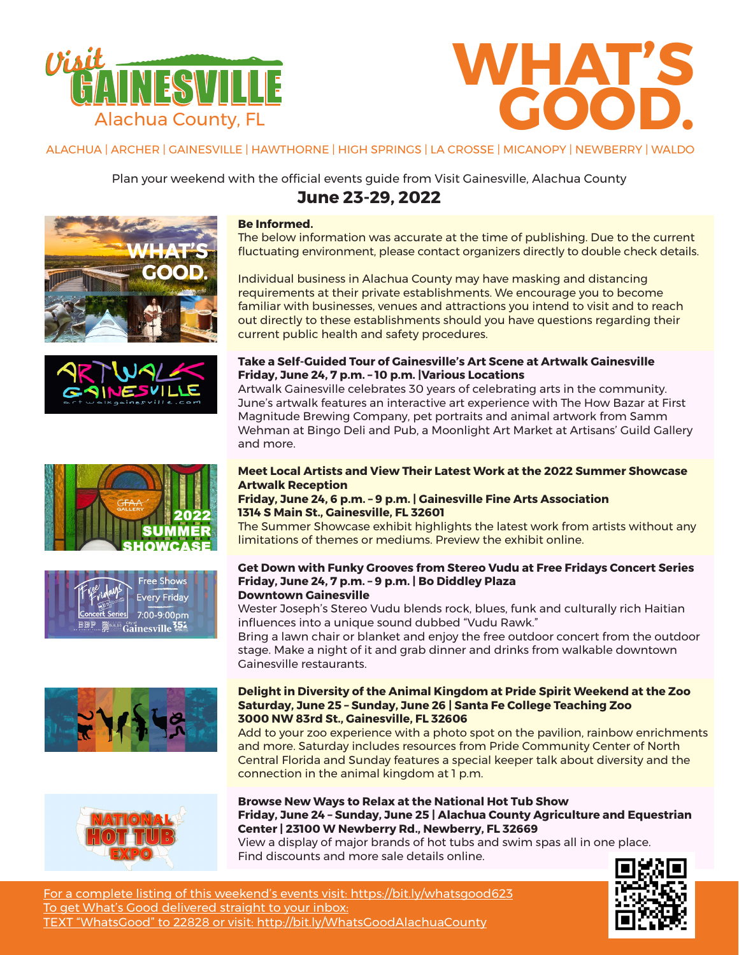



ALACHUA | ARCHER | GAINESVILLE | HAWTHORNE | HIGH SPRINGS | LA CROSSE | MICANOPY | NEWBERRY | WALDO

Plan your weekend with the official events guide from Visit Gainesville, Alachua County















# **Be Informed.**

The below information was accurate at the time of publishing. Due to the current fluctuating environment, please contact organizers directly to double check details.

Individual business in Alachua County may have masking and distancing requirements at their private establishments. We encourage you to become familiar with businesses, venues and attractions you intend to visit and to reach out directly to these establishments should you have questions regarding their current public health and safety procedures.

## **Take a Self-Guided Tour of Gainesville's Art Scene at Artwalk Gainesville Friday, June 24, 7 p.m. – 10 p.m. |Various Locations**

Artwalk Gainesville celebrates 30 years of celebrating arts in the community. June's artwalk features an interactive art experience with The How Bazar at First Magnitude Brewing Company, pet portraits and animal artwork from Samm Wehman at Bingo Deli and Pub, a Moonlight Art Market at Artisans' Guild Gallery and more.

## **Meet Local Artists and View Their Latest Work at the 2022 Summer Showcase Artwalk Reception**

## **Friday, June 24, 6 p.m. – 9 p.m. | Gainesville Fine Arts Association 1314 S Main St., Gainesville, FL 32601**

The Summer Showcase exhibit highlights the latest work from artists without any limitations of themes or mediums. Preview the exhibit online.

#### **Get Down with Funky Grooves from Stereo Vudu at Free Fridays Concert Series Friday, June 24, 7 p.m. – 9 p.m. | Bo Diddley Plaza Downtown Gainesville**

# Wester Joseph's Stereo Vudu blends rock, blues, funk and culturally rich Haitian influences into a unique sound dubbed "Vudu Rawk."

Bring a lawn chair or blanket and enjoy the free outdoor concert from the outdoor stage. Make a night of it and grab dinner and drinks from walkable downtown Gainesville restaurants.

## **Delight in Diversity of the Animal Kingdom at Pride Spirit Weekend at the Zoo Saturday, June 25 – Sunday, June 26 | Santa Fe College Teaching Zoo 3000 NW 83rd St., Gainesville, FL 32606**

Add to your zoo experience with a photo spot on the pavilion, rainbow enrichments and more. Saturday includes resources from Pride Community Center of North Central Florida and Sunday features a special keeper talk about diversity and the connection in the animal kingdom at 1 p.m.

**Browse New Ways to Relax at the National Hot Tub Show Friday, June 24 – Sunday, June 25 | Alachua County Agriculture and Equestrian Center | 23100 W Newberry Rd., Newberry, FL 32669**

View a display of major brands of hot tubs and swim spas all in one place. Find discounts and more sale details online.



For a complete listing of this weekend's events visit: https://bit.ly/whatsgood623 To get What's Good delivered straight to your inbox: TEXT "WhatsGood" to 22828 or visit: http://bit.ly/WhatsGoodAlachuaCounty